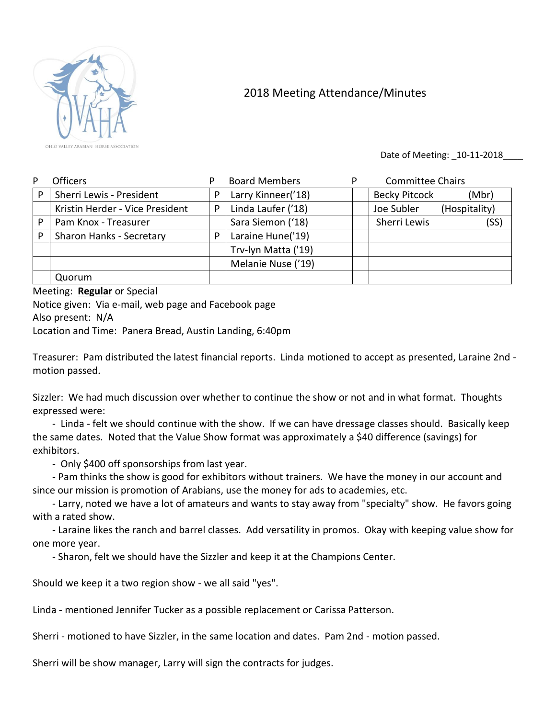

## 2018 Meeting Attendance/Minutes

Date of Meeting: 10-11-2018

| P | <b>Officers</b>                 |   | <b>Board Members</b> | P | <b>Committee Chairs</b>       |
|---|---------------------------------|---|----------------------|---|-------------------------------|
| P | Sherri Lewis - President        | P | Larry Kinneer('18)   |   | <b>Becky Pitcock</b><br>(Mbr) |
|   | Kristin Herder - Vice President | P | Linda Laufer ('18)   |   | Joe Subler<br>(Hospitality)   |
| P | Pam Knox - Treasurer            |   | Sara Siemon ('18)    |   | Sherri Lewis<br>(SS)          |
| P | Sharon Hanks - Secretary        | P | Laraine Hune('19)    |   |                               |
|   |                                 |   | Trv-lyn Matta ('19)  |   |                               |
|   |                                 |   | Melanie Nuse ('19)   |   |                               |
|   | Quorum                          |   |                      |   |                               |

## Meeting: **Regular** or Special

Notice given: Via e-mail, web page and Facebook page Also present: N/A

Location and Time: Panera Bread, Austin Landing, 6:40pm

Treasurer: Pam distributed the latest financial reports. Linda motioned to accept as presented, Laraine 2nd motion passed.

Sizzler: We had much discussion over whether to continue the show or not and in what format. Thoughts expressed were:

- Linda - felt we should continue with the show. If we can have dressage classes should. Basically keep the same dates. Noted that the Value Show format was approximately a \$40 difference (savings) for exhibitors.

- Only \$400 off sponsorships from last year.

- Pam thinks the show is good for exhibitors without trainers. We have the money in our account and since our mission is promotion of Arabians, use the money for ads to academies, etc.

- Larry, noted we have a lot of amateurs and wants to stay away from "specialty" show. He favors going with a rated show.

- Laraine likes the ranch and barrel classes. Add versatility in promos. Okay with keeping value show for one more year.

- Sharon, felt we should have the Sizzler and keep it at the Champions Center.

Should we keep it a two region show - we all said "yes".

Linda - mentioned Jennifer Tucker as a possible replacement or Carissa Patterson.

Sherri - motioned to have Sizzler, in the same location and dates. Pam 2nd - motion passed.

Sherri will be show manager, Larry will sign the contracts for judges.